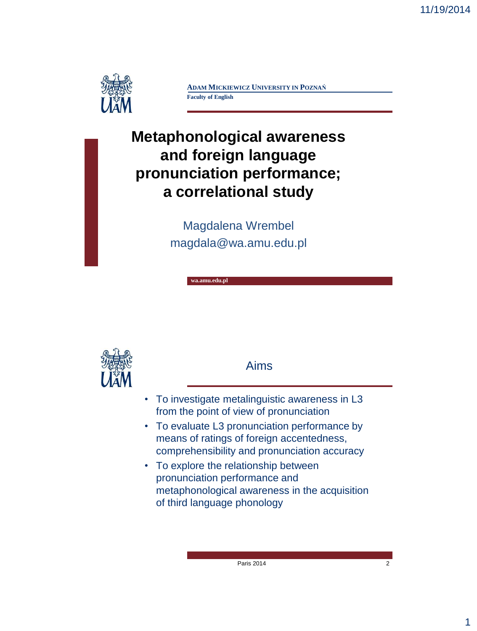

**ADAM MICKIEWICZ UNIVERSITY IN POZNAŃ Faculty of English**

# **Metaphonological awareness and foreign language pronunciation performance; a correlational study**

Magdalena Wrembel magdala@wa.amu.edu.pl

**wa.amu.edu.pl**



Aims

- To investigate metalinguistic awareness in L3 from the point of view of pronunciation
- To evaluate L3 pronunciation performance by means of ratings of foreign accentedness, comprehensibility and pronunciation accuracy
- To explore the relationship between pronunciation performance and metaphonological awareness in the acquisition of third language phonology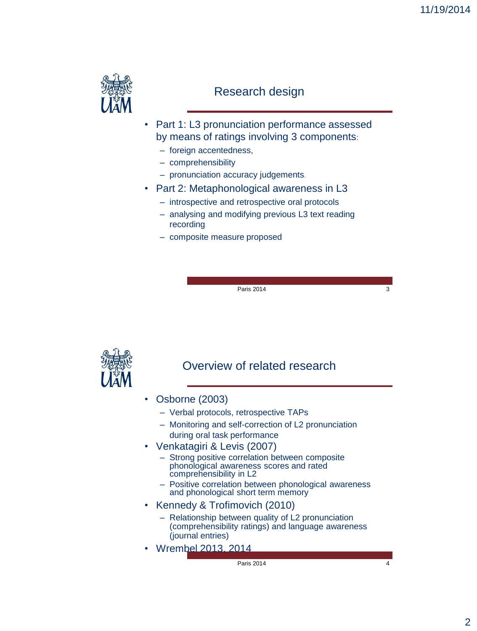

#### Research design

- Part 1: L3 pronunciation performance assessed by means of ratings involving 3 components:
	- foreign accentedness,
	- comprehensibility
	- pronunciation accuracy judgements.
- Part 2: Metaphonological awareness in L3
	- introspective and retrospective oral protocols
	- analysing and modifying previous L3 text reading recording
	- composite measure proposed

Paris 2014 3



#### Overview of related research

- Osborne (2003)
	- Verbal protocols, retrospective TAPs
	- Monitoring and self-correction of L2 pronunciation during oral task performance
- Venkatagiri & Levis (2007)
	- Strong positive correlation between composite phonological awareness scores and rated comprehensibility in L2
	- Positive correlation between phonological awareness and phonological short term memory
- Kennedy & Trofimovich (2010)
	- Relationship between quality of L2 pronunciation (comprehensibility ratings) and language awareness (journal entries)
- Wrembel 2013, 2014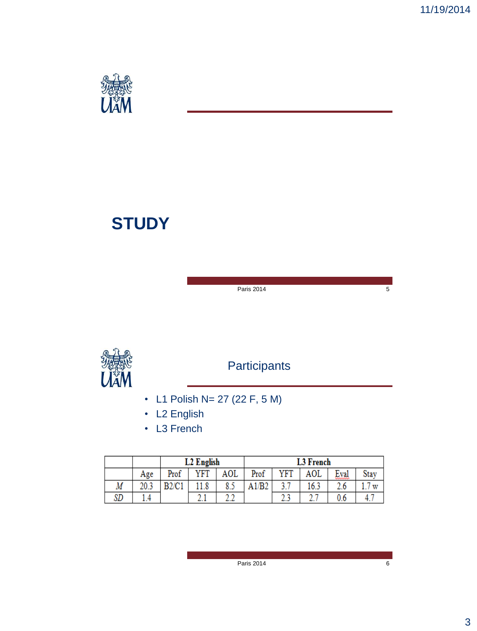

# **STUDY**

Paris 2014 5



# **Participants**

- L1 Polish N= 27 (22 F, 5 M)
- L2 English
- L3 French

|    |     | L <sub>2</sub> English |      |     |                | <b>L3 French</b> |      |                             |      |
|----|-----|------------------------|------|-----|----------------|------------------|------|-----------------------------|------|
|    | Age | Prof                   | YFT  | AOL | Prof           | YFT              | AOL  | −<br>Eval<br><del>៳៳៳</del> | Stay |
| Μ  |     | B2/C1                  |      | 8.5 | B <sub>2</sub> | 37               | 16.3 |                             | w    |
| SD |     |                        | a. 1 |     |                | سماه             |      |                             | 4.   |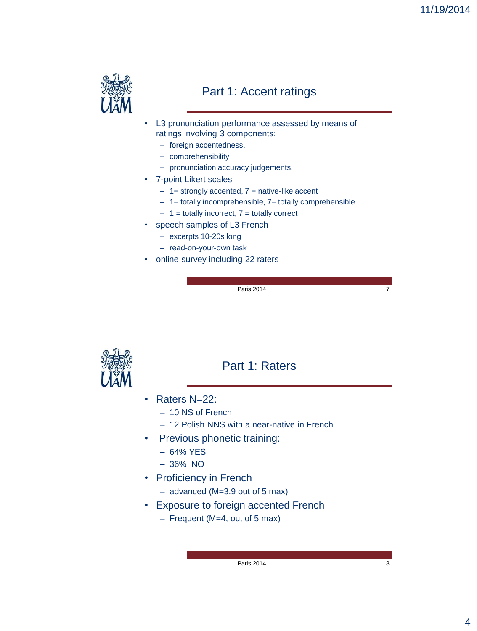

#### Part 1: Accent ratings

- L3 pronunciation performance assessed by means of ratings involving 3 components:
	- foreign accentedness,
	- comprehensibility
	- pronunciation accuracy judgements.
- 7-point Likert scales
	- $1$  = strongly accented,  $7$  = native-like accent
	- 1= totally incomprehensible, 7= totally comprehensible
	- $1$  = totally incorrect,  $7$  = totally correct
- speech samples of L3 French
	- excerpts 10-20s long
	- read-on-your-own task
- online survey including 22 raters

Paris  $2014$ 



#### Part 1: Raters

- Raters N=22:
	- 10 NS of French
	- 12 Polish NNS with a near-native in French
- Previous phonetic training:
	- 64% YES
	- 36% NO
- Proficiency in French
	- advanced (M=3.9 out of 5 max)
- Exposure to foreign accented French
	- Frequent (M=4, out of 5 max)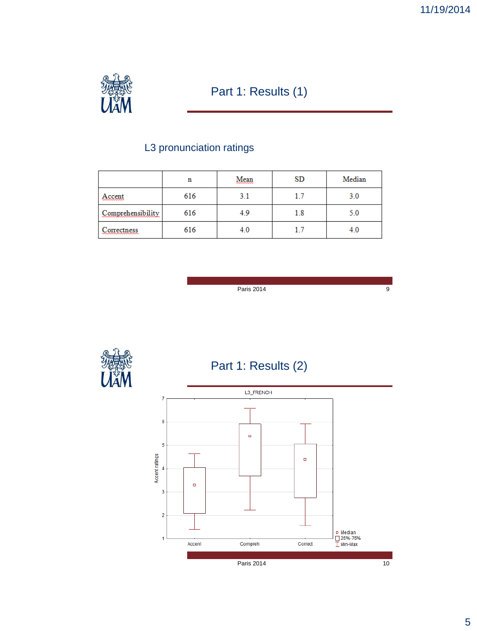

## Part 1: Results (1)

## L3 pronunciation ratings

|                                          | n   | Mean | <b>SD</b> | Median |
|------------------------------------------|-----|------|-----------|--------|
| Accent<br>~~~~~~~~                       | 616 | 3.1  | 1.7       | 3.0    |
| Comprehensibility                        | 616 | 4.9  | 1.8       | 5.0    |
| Correctness<br>,,,,,,,,,,,,,,,,,,,,,,,,, | 616 | 4.0  | 1.7       | 4.0    |

Paris 2014



 $\overline{9}$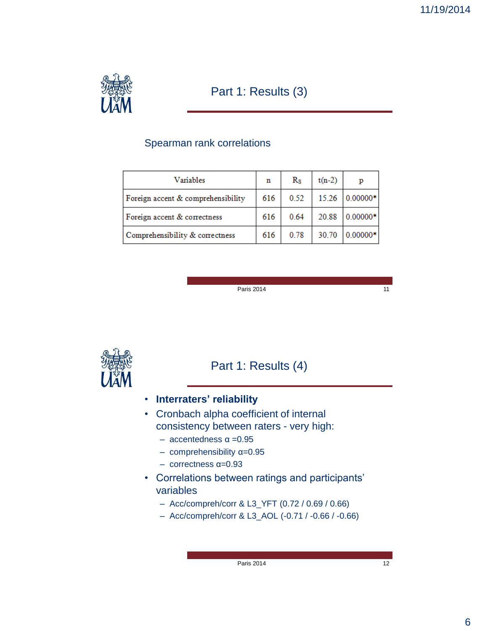

#### Part 1: Results (3)

#### Spearman rank correlations

| Variables                          | n   | $R_{\rm S}$ | $t(n-2)$ | р            |
|------------------------------------|-----|-------------|----------|--------------|
| Foreign accent & comprehensibility | 616 | 0.52        | 15.26    | $ 0.00000* $ |
| Foreign accent & correctness       |     | 0.64        | 20.88    | $0.00000*$   |
| Comprehensibility & correctness    | 616 | 0.78        | 30.70    | $0.00000*$   |

Paris 2014

11



#### Part 1: Results (4)

- **Interraters' reliability**
- Cronbach alpha coefficient of internal consistency between raters - very high:
	- accentedness α =0.95
	- comprehensibility α=0.95
	- correctness α=0.93
- Correlations between ratings and participants" variables
	- Acc/compreh/corr & L3\_YFT (0.72 / 0.69 / 0.66)
	- Acc/compreh/corr & L3\_AOL (-0.71 / -0.66 / -0.66)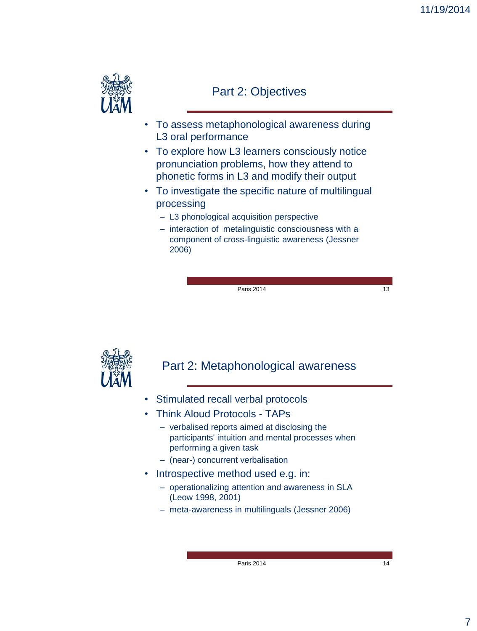

#### Part 2: Objectives

- To assess metaphonological awareness during L3 oral performance
- To explore how L3 learners consciously notice pronunciation problems, how they attend to phonetic forms in L3 and modify their output
- To investigate the specific nature of multilingual processing
	- L3 phonological acquisition perspective
	- interaction of metalinguistic consciousness with a component of cross-linguistic awareness (Jessner 2006)

Paris 2014 13

#### Part 2: Metaphonological awareness

- Stimulated recall verbal protocols
- Think Aloud Protocols TAPs
	- verbalised reports aimed at disclosing the participants' intuition and mental processes when performing a given task
	- (near-) concurrent verbalisation
- Introspective method used e.g. in:
	- operationalizing attention and awareness in SLA (Leow 1998, 2001)
	- meta-awareness in multilinguals (Jessner 2006)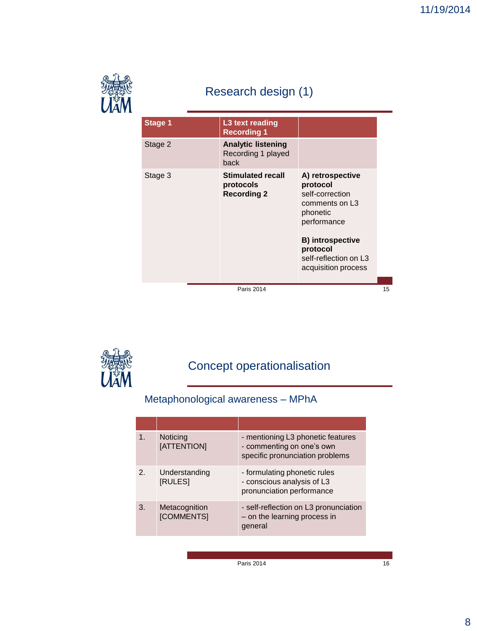

# Research design (1)

| <b>Stage 1</b> | L3 text reading<br><b>Recording 1</b>                       |                                                                                                                                                                                                 |  |
|----------------|-------------------------------------------------------------|-------------------------------------------------------------------------------------------------------------------------------------------------------------------------------------------------|--|
| Stage 2        | <b>Analytic listening</b><br>Recording 1 played<br>back     |                                                                                                                                                                                                 |  |
| Stage 3        | <b>Stimulated recall</b><br>protocols<br><b>Recording 2</b> | A) retrospective<br>protocol<br>self-correction<br>comments on L <sub>3</sub><br>phonetic<br>performance<br><b>B)</b> introspective<br>protocol<br>self-reflection on L3<br>acquisition process |  |
|                |                                                             |                                                                                                                                                                                                 |  |
|                | <b>Paris 2014</b>                                           |                                                                                                                                                                                                 |  |

# Concept operationalisation

## Metaphonological awareness – MPhA

| 1 <sub>1</sub> | Noticing<br>[ATTENTION]         | - mentioning L3 phonetic features<br>- commenting on one's own<br>specific pronunciation problems |
|----------------|---------------------------------|---------------------------------------------------------------------------------------------------|
| 2.             | Understanding<br><b>IRULESI</b> | - formulating phonetic rules<br>- conscious analysis of L3<br>pronunciation performance           |
| 3.             | Metacognition<br>[COMMENTS]     | - self-reflection on L3 pronunciation<br>- on the learning process in<br>general                  |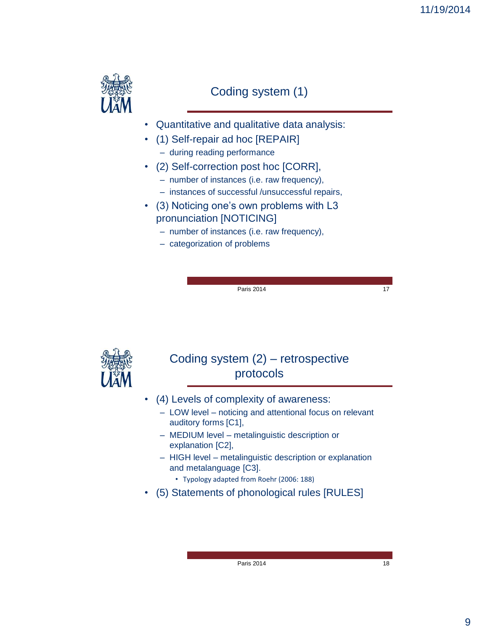

#### Coding system (1)

- Quantitative and qualitative data analysis:
- (1) Self-repair ad hoc [REPAIR]
	- during reading performance
- (2) Self-correction post hoc [CORR],
	- number of instances (i.e. raw frequency),
	- instances of successful /unsuccessful repairs,
- (3) Noticing one's own problems with L3 pronunciation [NOTICING]
	- number of instances (i.e. raw frequency),
	- categorization of problems

Paris 2014 17

#### Coding system (2) – retrospective protocols

- (4) Levels of complexity of awareness:
	- LOW level noticing and attentional focus on relevant auditory forms [C1],
	- MEDIUM level metalinguistic description or explanation [C2],
	- HIGH level metalinguistic description or explanation and metalanguage [C3].
		- Typology adapted from Roehr (2006: 188)
- (5) Statements of phonological rules [RULES]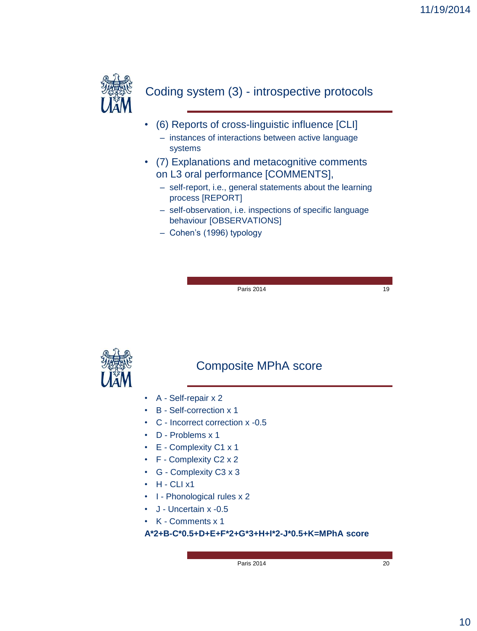

#### Coding system (3) - introspective protocols

- (6) Reports of cross-linguistic influence [CLI]
	- instances of interactions between active language systems
- (7) Explanations and metacognitive comments on L3 oral performance [COMMENTS],
	- self-report, i.e., general statements about the learning process [REPORT]
	- self-observation, i.e. inspections of specific language behaviour [OBSERVATIONS]
	- Cohen"s (1996) typology

Paris 2014 19



#### Composite MPhA score

- A Self-repair x 2
- B Self-correction x 1
- C Incorrect correction x -0.5
- D Problems x 1
- E Complexity C1 x 1
- F Complexity C2 x 2
- G Complexity C3 x 3
- $\cdot$  H CLI x1
- I Phonological rules x 2
- J Uncertain x -0.5
- K Comments x 1

**A\*2+B-C\*0.5+D+E+F\*2+G\*3+H+I\*2-J\*0.5+K=MPhA score**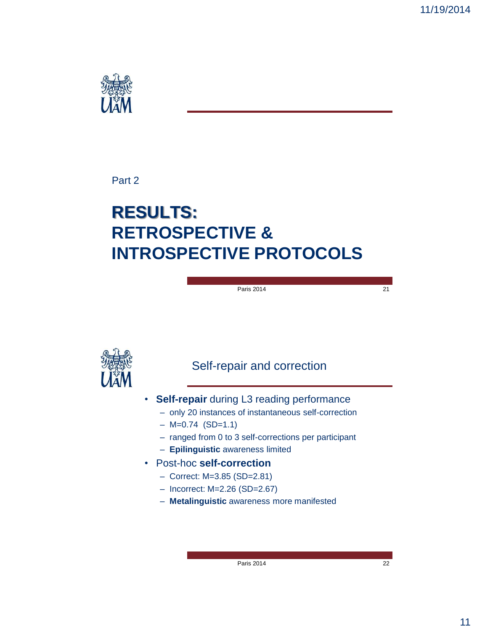

#### Part 2

# **RESULTS: RETROSPECTIVE & INTROSPECTIVE PROTOCOLS**

#### Paris 2014 21

#### Self-repair and correction

- **Self-repair** during L3 reading performance
	- only 20 instances of instantaneous self-correction
	- $-$  M=0.74 (SD=1.1)
	- ranged from 0 to 3 self-corrections per participant
	- **Epilinguistic** awareness limited
- Post-hoc **self-correction**
	- Correct: M=3.85 (SD=2.81)
	- Incorrect: M=2.26 (SD=2.67)
	- **Metalinguistic** awareness more manifested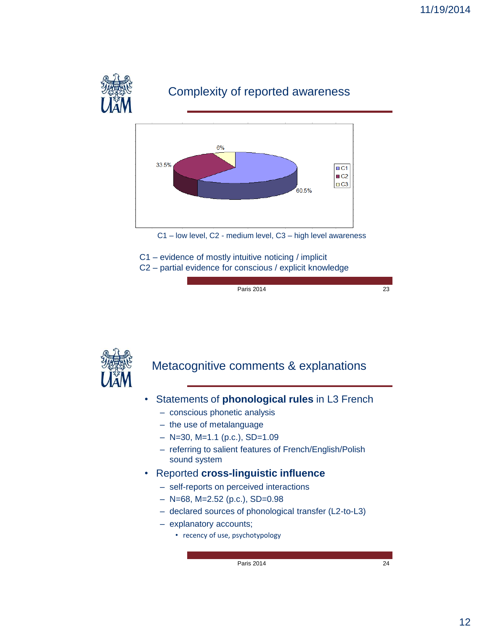

### Complexity of reported awareness



C1 – low level, C2 - medium level, C3 – high level awareness

C1 – evidence of mostly intuitive noticing / implicit C2 – partial evidence for conscious / explicit knowledge

Paris 2014

23



#### Metacognitive comments & explanations

- Statements of **phonological rules** in L3 French
	- conscious phonetic analysis
	- the use of metalanguage
	- $-$  N=30, M=1.1 (p.c.), SD=1.09
	- referring to salient features of French/English/Polish sound system
- Reported **cross-linguistic influence**
	- self-reports on perceived interactions
	- $-$  N=68, M=2.52 (p.c.), SD=0.98
	- declared sources of phonological transfer (L2-to-L3)
	- explanatory accounts;
		- recency of use, psychotypology

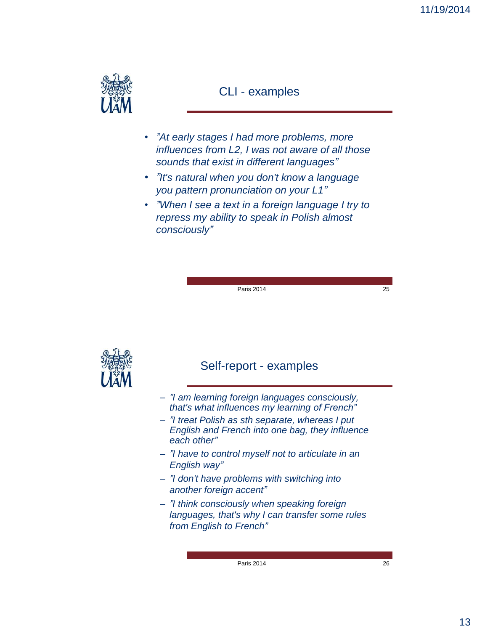

#### CLI - examples

- *"At early stages I had more problems, more influences from L2, I was not aware of all those sounds that exist in different languages"*
- *"It's natural when you don't know a language you pattern pronunciation on your L1"*
- *"When I see a text in a foreign language I try to repress my ability to speak in Polish almost consciously"*

Paris 2014 25

#### Self-report - examples

- *"I am learning foreign languages consciously, that's what influences my learning of French"*
- *"I treat Polish as sth separate, whereas I put English and French into one bag, they influence each other"*
- *"I have to control myself not to articulate in an English way"*
- *"I don't have problems with switching into another foreign accent"*
- *"I think consciously when speaking foreign languages, that's why I can transfer some rules from English to French"*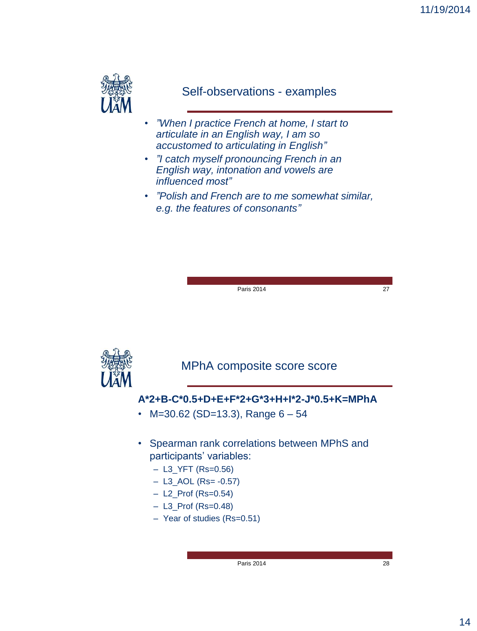

#### Self-observations - examples

- *"When I practice French at home, I start to articulate in an English way, I am so accustomed to articulating in English"*
- *"I catch myself pronouncing French in an English way, intonation and vowels are influenced most"*
- *"Polish and French are to me somewhat similar, e.g. the features of consonants"*



Paris 2014 27

MPhA composite score score

#### **A\*2+B-C\*0.5+D+E+F\*2+G\*3+H+I\*2-J\*0.5+K=MPhA**

- M=30.62 (SD=13.3), Range  $6 54$
- Spearman rank correlations between MPhS and participants' variables:
	- L3\_YFT (Rs=0.56)
	- $-$  L3\_AOL (Rs= -0.57)
	- L2\_Prof (Rs=0.54)
	- L3\_Prof (Rs=0.48)
	- Year of studies (Rs=0.51)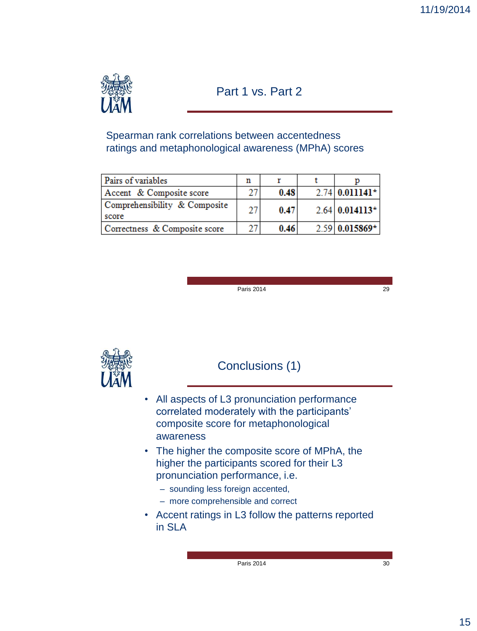

#### Part 1 vs. Part 2

Spearman rank correlations between accentedness ratings and metaphonological awareness (MPhA) scores

| Pairs of variables                     |    |      |                                   |
|----------------------------------------|----|------|-----------------------------------|
| Accent & Composite score               |    | 0.48 | $2.74 \, 0.011141^*$              |
| Comprehensibility & Composite<br>score | 27 | 0.47 | $2.64 \mid 0.014113^{\star} \mid$ |
| Correctness & Composite score          |    | 0.46 | $2.59 \mid 0.015869^+$            |

Paris 2014

29



#### Conclusions (1)

- All aspects of L3 pronunciation performance correlated moderately with the participants" composite score for metaphonological awareness
- The higher the composite score of MPhA, the higher the participants scored for their L3 pronunciation performance, i.e.
	- sounding less foreign accented,
	- more comprehensible and correct
- Accent ratings in L3 follow the patterns reported in SLA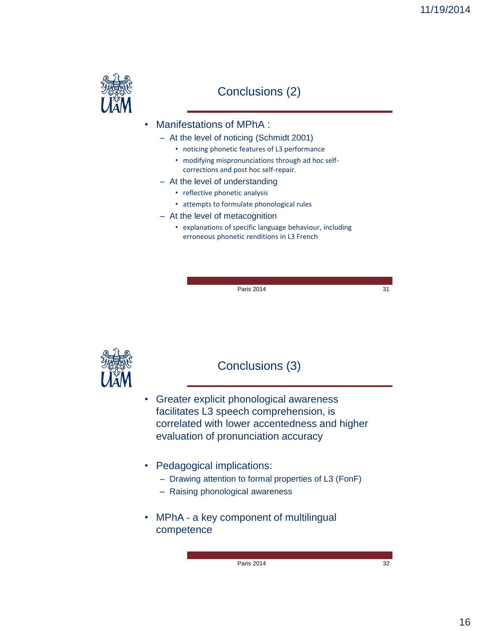

#### Conclusions (2)

- Manifestations of MPhA :
	- At the level of noticing (Schmidt 2001)
		- noticing phonetic features of L3 performance
		- modifying mispronunciations through ad hoc selfcorrections and post hoc self-repair.
	- At the level of understanding
		- reflective phonetic analysis
		- attempts to formulate phonological rules
	- At the level of metacognition
		- explanations of specific language behaviour, including erroneous phonetic renditions in L3 French

Paris 2014 31

#### Conclusions (3)

- Greater explicit phonological awareness facilitates L3 speech comprehension, is correlated with lower accentedness and higher evaluation of pronunciation accuracy
- Pedagogical implications:
	- Drawing attention to formal properties of L3 (FonF)
	- Raising phonological awareness
- MPhA a key component of multilingual competence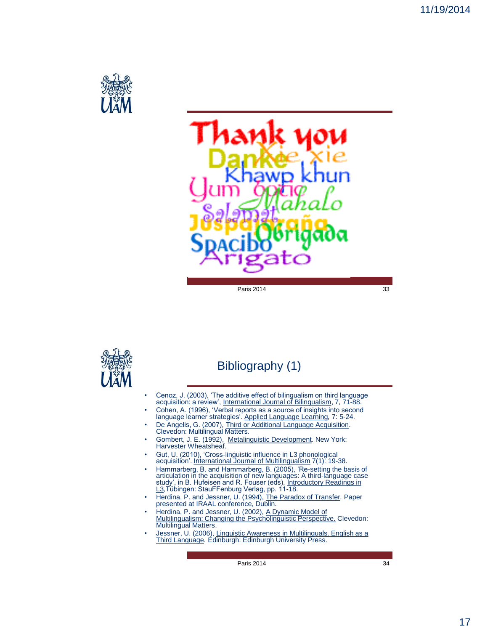



#### Bibliography (1)

- Cenoz, J. (2003), "The additive effect of bilingualism on third language acquisition: a review", International Journal of Bilingualism, 7, 71-88.
- Cohen, A. (1996), "Verbal reports as a source of insights into second language learner strategies". Applied Language Learning*,* 7: 5-24.
- De Angelis, G. (2007), Third or Additional Language Acquisition. Clevedon: Multilingual Matters.
- Gombert, J. E. (1992), Metalinguistic Development*.* New York: Harvester Wheatsheaf.
- Gut, U. (2010), "Cross-linguistic influence in L3 phonological acquisition". International Journal of Multilingualism 7(1): 19-38.
- Hammarberg, B. and Hammarberg, B. (2005), 'Re-setting the basis of articulation in the acquisition of new languages: A third-language case study', in B. Hufeisen and R. Fouser (eds), Introductory Readings in L3,Tübingen:
- Herdina, P. and Jessner, U. (1994), The Paradox of Transfer*.* Paper presented at IRAAL conference, Dublin.
- Herdina, P. and Jessner, U. (2002), A Dynamic Model of Multilingualism: Changing the Psycholinguistic Perspective. Clevedon: Multilingual Matters.
- Jessner, U. (2006), Linguistic Awareness in Multilinguals. English as a Third Language*.* Edinburgh: Edinburgh University Press.